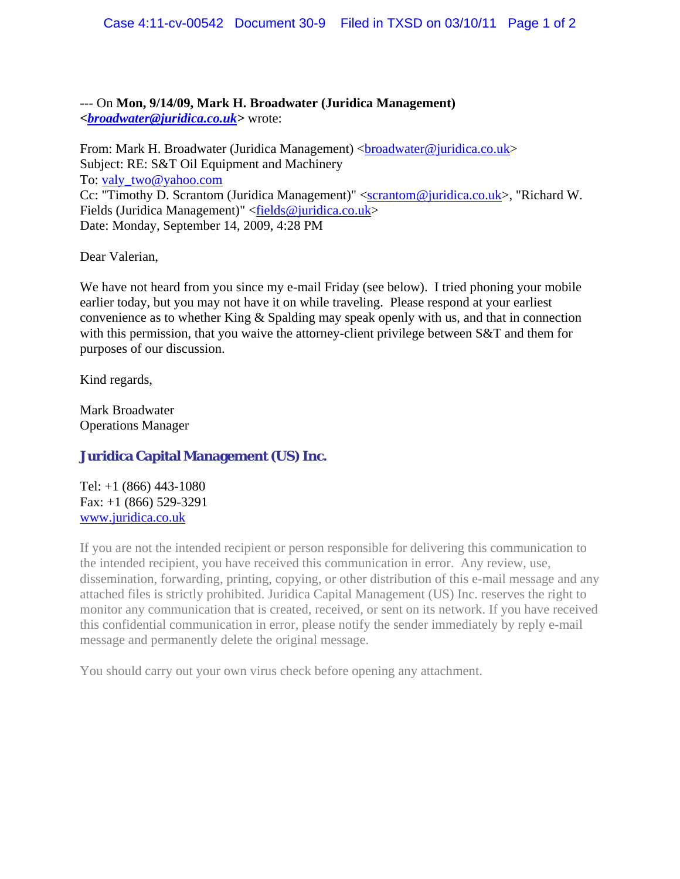--- On **Mon, 9/14/09, Mark H. Broadwater (Juridica Management)**  *<broadwater@juridica.co.uk>* wrote:

From: Mark H. Broadwater (Juridica Management) <br/>  $\langle$ broadwater@juridica.co.uk> Subject: RE: S&T Oil Equipment and Machinery To: valy\_two@yahoo.com Cc: "Timothy D. Scrantom (Juridica Management)" <scrantom@juridica.co.uk>, "Richard W. Fields (Juridica Management)" <*fields@juridica.co.uk>* Date: Monday, September 14, 2009, 4:28 PM

Dear Valerian,

We have not heard from you since my e-mail Friday (see below). I tried phoning your mobile earlier today, but you may not have it on while traveling. Please respond at your earliest convenience as to whether King & Spalding may speak openly with us, and that in connection with this permission, that you waive the attorney-client privilege between S&T and them for purposes of our discussion.

Kind regards,

Mark Broadwater Operations Manager

## **Juridica Capital Management (US) Inc.**

Tel: +1 (866) 443-1080 Fax: +1 (866) 529-3291 www.juridica.co.uk

If you are not the intended recipient or person responsible for delivering this communication to the intended recipient, you have received this communication in error. Any review, use, dissemination, forwarding, printing, copying, or other distribution of this e-mail message and any attached files is strictly prohibited. Juridica Capital Management (US) Inc. reserves the right to monitor any communication that is created, received, or sent on its network. If you have received this confidential communication in error, please notify the sender immediately by reply e-mail message and permanently delete the original message.

You should carry out your own virus check before opening any attachment.